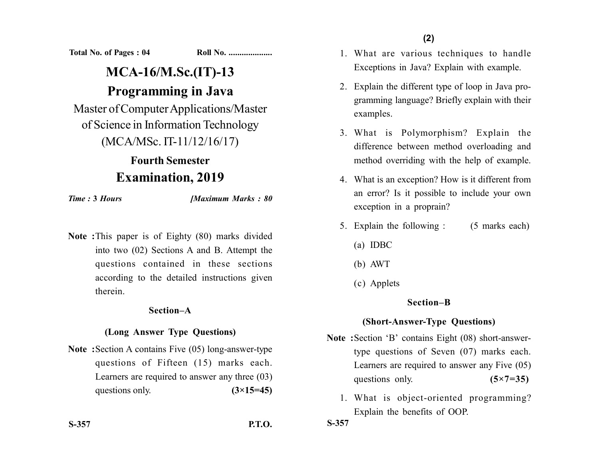**Total No. of Pages : 04 Roll No. ...................** 

# **MCA-16/M.Sc.(IT)-13 Programming in Java**

Master of Computer Applications/Master of Science in Information Technology (MCA/MSc. IT-11/12/16/17)

## **Fourth Semester Examination, 2019**

*Time :* **3** *Hours [Maximum Marks : 80*

**Note :**This paper is of Eighty (80) marks divided into two (02) Sections A and B. Attempt the questions contained in these sections according to the detailed instructions given therein.

#### **Section–A**

### **(Long Answer Type Questions)**

**Note :**Section A contains Five (05) long-answer-type questions of Fifteen (15) marks each. Learners are required to answer any three (03) questions only. **(3×15=45)** 

**S-357 P.T.O.**

- 1. What are various techniques to handle Exceptions in Java? Explain with example.
- 2. Explain the different type of loop in Java programming language? Briefly explain with their examples.
- 3. What is Polymorphism? Explain the difference between method overloading and method overriding with the help of example.
- 4. What is an exception? How is it different from an error? Is it possible to include your own exception in a proprain?
- 5. Explain the following : (5 marks each)
	- (a) IDBC
	- (b) AWT
	- (c) Applets

### **Section–B**

### **(Short-Answer-Type Questions)**

- **Note :**Section 'B' contains Eight (08) short-answertype questions of Seven (07) marks each. Learners are required to answer any Five (05) questions only. **(5×7=35)** 
	- 1. What is object-oriented programming? Explain the benefits of OOP.

**S-357**